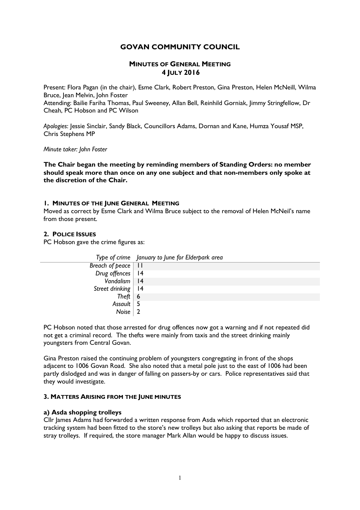## **GOVAN COMMUNITY COUNCIL**

## **MINUTES OF GENERAL MEETING 4 JULY 2016**

Present: Flora Pagan (in the chair), Esme Clark, Robert Preston, Gina Preston, Helen McNeill, Wilma Bruce, Jean Melvin, John Foster

Attending: Bailie Fariha Thomas, Paul Sweeney, Allan Bell, Reinhild Gorniak, Jimmy Stringfellow, Dr Cheah, PC Hobson and PC Wilson

*Apologies*: Jessie Sinclair, Sandy Black, Councillors Adams, Dornan and Kane, Humza Yousaf MSP, Chris Stephens MP

*Minute taker: John Foster*

**The Chair began the meeting by reminding members of Standing Orders: no member should speak more than once on any one subject and that non-members only spoke at the discretion of the Chair.**

#### **1. MINUTES OF THE JUNE GENERAL MEETING**

Moved as correct by Esme Clark and Wilma Bruce subject to the removal of Helen McNeil's name from those present.

### **2. POLICE ISSUES**

PC Hobson gave the crime figures as:

|                             | Type of crime January to June for Elderpark area |
|-----------------------------|--------------------------------------------------|
| Breach of peace $ $ 11      |                                                  |
| Drug offences   14          |                                                  |
| Vandalism   14              |                                                  |
| Street drinking $\sqrt{14}$ |                                                  |
| Theft   $6$                 |                                                  |
| Assault $\vert 5 \vert$     |                                                  |
| Noise $\vert 2$             |                                                  |

PC Hobson noted that those arrested for drug offences now got a warning and if not repeated did not get a criminal record. The thefts were mainly from taxis and the street drinking mainly youngsters from Central Govan.

Gina Preston raised the continuing problem of youngsters congregating in front of the shops adjacent to 1006 Govan Road. She also noted that a metal pole just to the east of 1006 had been partly dislodged and was in danger of falling on passers-by or cars. Police representatives said that they would investigate.

### **3. MATTERS ARISING FROM THE JUNE MINUTES**

### **a) Asda shopping trolleys**

Cllr James Adams had forwarded a written response from Asda which reported that an electronic tracking system had been fitted to the store's new trolleys but also asking that reports be made of stray trolleys. If required, the store manager Mark Allan would be happy to discuss issues.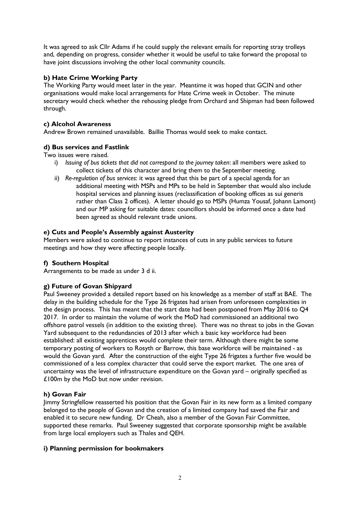It was agreed to ask Cllr Adams if he could supply the relevant emails for reporting stray trolleys and, depending on progress, consider whether it would be useful to take forward the proposal to have joint discussions involving the other local community councils.

## **b) Hate Crime Working Party**

The Working Party would meet later in the year. Meantime it was hoped that GCIN and other organisations would make local arrangements for Hate Crime week in October. The minute secretary would check whether the rehousing pledge from Orchard and Shipman had been followed through.

## **c) Alcohol Awareness**

Andrew Brown remained unavailable. Baillie Thomas would seek to make contact.

## **d) Bus services and Fastlink**

Two issues were raised.

- i) *Issuing of bus tickets that did not correspond to the journey taken*: all members were asked to collect tickets of this character and bring them to the September meeting.
- ii) *Re-regulation of bus services*: it was agreed that this be part of a special agenda for an additional meeting with MSPs and MPs to be held in September that would also include hospital services and planning issues (reclassification of booking offices as sui generis rather than Class 2 offices). A letter should go to MSPs (Humza Yousaf, Johann Lamont) and our MP asking for suitable dates: councillors should be informed once a date had been agreed as should relevant trade unions.

## **e) Cuts and People's Assembly against Austerity**

Members were asked to continue to report instances of cuts in any public services to future meetings and how they were affecting people locally.

# **f) Southern Hospital**

Arrangements to be made as under 3 d ii.

# **g) Future of Govan Shipyard**

Paul Sweeney provided a detailed report based on his knowledge as a member of staff at BAE. The delay in the building schedule for the Type 26 frigates had arisen from unforeseen complexities in the design process. This has meant that the start date had been postponed from May 2016 to Q4 2017. In order to maintain the volume of work the MoD had commissioned an additional two offshore patrol vessels (in addition to the existing three). There was no threat to jobs in the Govan Yard subsequent to the redundancies of 2013 after which a basic key workforce had been established: all existing apprentices would complete their term. Although there might be some temporary posting of workers to Rosyth or Barrow, this base workforce will be maintained - as would the Govan yard. After the construction of the eight Type 26 frigates a further five would be commissioned of a less complex character that could serve the export market. The one area of uncertainty was the level of infrastructure expenditure on the Govan yard – originally specified as £100m by the MoD but now under revision.

## **h) Govan Fair**

Jimmy Stringfellow reasserted his position that the Govan Fair in its new form as a limited company belonged to the people of Govan and the creation of a limited company had saved the Fair and enabled it to secure new funding. Dr Cheah, also a member of the Govan Fair Committee, supported these remarks. Paul Sweeney suggested that corporate sponsorship might be available from large local employers such as Thales and QEH.

## **i) Planning permission for bookmakers**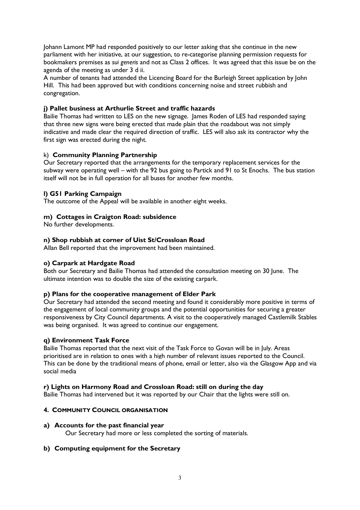Johann Lamont MP had responded positively to our letter asking that she continue in the new parliament with her initiative, at our suggestion, to re-categorise planning permission requests for bookmakers premises as *sui generis* and not as Class 2 offices. It was agreed that this issue be on the agenda of the meeting as under 3 d ii.

A number of tenants had attended the Licencing Board for the Burleigh Street application by John Hill. This had been approved but with conditions concerning noise and street rubbish and congregation.

## **j) Pallet business at Arthurlie Street and traffic hazards**

Bailie Thomas had written to LES on the new signage. James Roden of LES had responded saying that three new signs were being erected that made plain that the roadabout was not simply indicative and made clear the required direction of traffic. LES will also ask its contractor why the first sign was erected during the night.

## k) **Community Planning Partnership**

Our Secretary reported that the arrangements for the temporary replacement services for the subway were operating well – with the 92 bus going to Partick and 91 to St Enochs. The bus station itself will not be in full operation for all buses for another few months.

# **l) G51 Parking Campaign**

The outcome of the Appeal will be available in another eight weeks.

# **m) Cottages in Craigton Road: subsidence**

No further developments.

## **n) Shop rubbish at corner of Uist St/Crossloan Road**

Allan Bell reported that the improvement had been maintained.

# **o) Carpark at Hardgate Road**

Both our Secretary and Bailie Thomas had attended the consultation meeting on 30 June. The ultimate intention was to double the size of the existing carpark.

## **p) Plans for the cooperative management of Elder Park**

Our Secretary had attended the second meeting and found it considerably more positive in terms of the engagement of local community groups and the potential opportunities for securing a greater responsiveness by City Council departments. A visit to the cooperatively managed Castlemilk Stables was being organised. It was agreed to continue our engagement.

## **q) Environment Task Force**

Bailie Thomas reported that the next visit of the Task Force to Govan will be in July. Areas prioritised are in relation to ones with a high number of relevant issues reported to the Council. This can be done by the traditional means of phone, email or letter, also via the Glasgow App and via social media

## **r) Lights on Harmony Road and Crossloan Road: still on during the day**

Bailie Thomas had intervened but it was reported by our Chair that the lights were still on.

## **4. COMMUNITY COUNCIL ORGANISATION**

## **a) Accounts for the past financial year**

Our Secretary had more or less completed the sorting of materials.

## **b) Computing equipment for the Secretary**